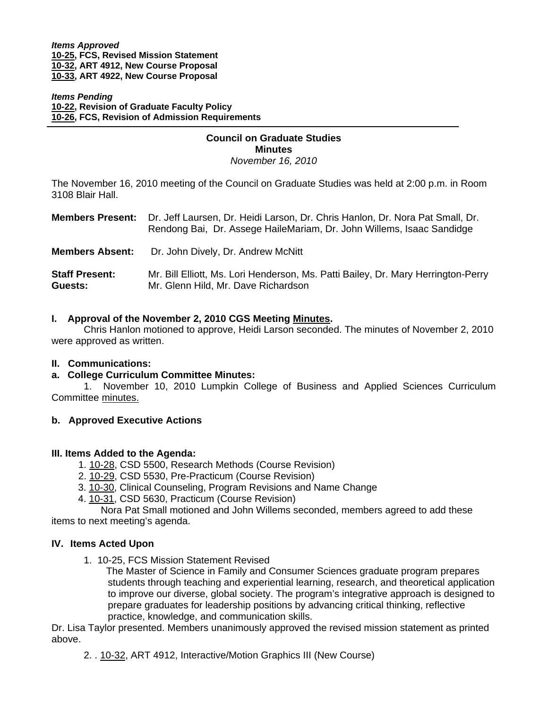*Items Approved*  **[10-25,](http://www.eiu.edu/~eiucgs/currentagendaitems/agenda10-25.pdf) FCS, Revised Mission Statement [10-32, A](http://www.eiu.edu/~eiucgs/currentagendaitems/agenda10-32.pdf)RT 4912, New Course Proposal [10-33, AR](http://www.eiu.edu/~eiucgs/currentagendaitems/agenda10-33.pdf)T 4922, New Course Proposal**

*Items Pending* **[10-22, R](http://www.eiu.edu/~eiucgs/currentagendaitems/agenda10-22.pdf)evision of Graduate Faculty Policy [10-26, F](http://www.eiu.edu/~eiucgs/currentagendaitems/agenda10-26.pdf)CS, Revision of Admission Requirements**

# **Council on Graduate Studies Minutes**

*November 16, 2010* 

The November 16, 2010 meeting of the Council on Graduate Studies was held at 2:00 p.m. in Room 3108 Blair Hall.

| <b>Members Present:</b>          | Dr. Jeff Laursen, Dr. Heidi Larson, Dr. Chris Hanlon, Dr. Nora Pat Small, Dr.<br>Rendong Bai, Dr. Assege HaileMariam, Dr. John Willems, Isaac Sandidge |
|----------------------------------|--------------------------------------------------------------------------------------------------------------------------------------------------------|
| <b>Members Absent:</b>           | Dr. John Dively, Dr. Andrew McNitt                                                                                                                     |
| <b>Staff Present:</b><br>Guests: | Mr. Bill Elliott, Ms. Lori Henderson, Ms. Patti Bailey, Dr. Mary Herrington-Perry<br>Mr. Glenn Hild, Mr. Dave Richardson                               |

#### **I. Approval of the November 2, 2010 CGS Meetin[g Minutes.](http://castle.eiu.edu/~eiucgs/currentminutes/Minutes11-2-10.pdf)**

 Chris Hanlon motioned to approve, Heidi Larson seconded. The minutes of November 2, 2010 were approved as written.

#### **II. Communications:**

j

#### **a. College Curriculum Committee Minutes:**

1. November 10, 2010 Lumpkin College of Business and Applied Sciences Curriculum Committe[e minutes.](http://www.eiu.edu/~eiucgs/currentagendaitems/LCBASMin11-10-10.pdf)

#### **b. Approved Executive Actions**

#### **III. Items Added to the Agenda:**

- 1. [10-28, CS](http://www.eiu.edu/~eiucgs/currentagendaitems/agenda10-28.pdf)D 5500, Research Methods (Course Revision)
- 2. [10-29, C](http://www.eiu.edu/~eiucgs/currentagendaitems/agenda10-29.pdf)SD 5530, Pre-Practicum (Course Revision)
- 3. [10-30, C](http://www.eiu.edu/~eiucgs/currentagendaitems/agenda10-30.pdf)linical Counseling, Program Revisions and Name Change
- 4. [10-31,](http://www.eiu.edu/~eiucgs/currentagendaitems/agenda10-31.pdf) CSD 5630, Practicum (Course Revision)

 Nora Pat Small motioned and John Willems seconded, members agreed to add these items to next meeting's agenda.

#### **IV. Items Acted Upon**

1. [10-](http://www.eiu.edu/~eiucgs/currentagendaitems/agenda10-25.pdf)25, FCS Mission Statement Revised

 The Master of Science in Family and Consumer Sciences graduate program prepares students through teaching and experiential learning, research, and theoretical application to improve our diverse, global society. The program's integrative approach is designed to prepare graduates for leadership positions by advancing critical thinking, reflective practice, knowledge, and communication skills.

Dr. Lisa Taylor presented. Members unanimously approved the revised mission statement as printed above.

2. . [10-32,](http://www.eiu.edu/~eiucgs/currentagendaitems/agenda10-32.pdf) ART 4912, Interactive/Motion Graphics III (New Course)